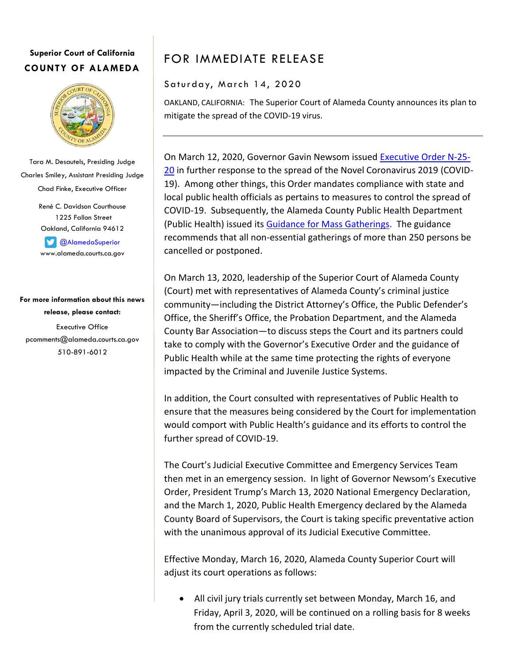## **Superior Court of California COUNTY OF ALAMEDA**



Tara M. Desautels, Presiding Judge Charles Smiley, Assistant Presiding Judge Chad Finke, Executive Officer

> René C. Davidson Courthouse 1225 Fallon Street Oakland, California 94612

**C** [@AlamedaSuperior](https://twitter.com/AlamedaSuperior) www.alameda.courts.ca.gov

## **For more information about this news release, please contact:** Executive Office pcomments@alameda.courts.ca.gov 510-891-6012

## FOR IMMEDIATE RELEASE

## Saturday, March 14, 2020

OAKLAND, CALIFORNIA: The Superior Court of Alameda County announces its plan to mitigate the spread of the COVID-19 virus.

On March 12, 2020, Governor Gavin Newsom issued [Executive Order N-25-](https://www.gov.ca.gov/wp-content/uploads/2020/03/3.12.20-EO-N-25-20-COVID-19.pdf) [20](https://www.gov.ca.gov/wp-content/uploads/2020/03/3.12.20-EO-N-25-20-COVID-19.pdf) in further response to the spread of the Novel Coronavirus 2019 (COVID-19). Among other things, this Order mandates compliance with state and local public health officials as pertains to measures to control the spread of COVID-19. Subsequently, the Alameda County Public Health Department (Public Health) issued its [Guidance for Mass Gatherings.](http://www.acphd.org/2019-ncov.aspx) The guidance recommends that all non-essential gatherings of more than 250 persons be cancelled or postponed.

On March 13, 2020, leadership of the Superior Court of Alameda County (Court) met with representatives of Alameda County's criminal justice community—including the District Attorney's Office, the Public Defender's Office, the Sheriff's Office, the Probation Department, and the Alameda County Bar Association—to discuss steps the Court and its partners could take to comply with the Governor's Executive Order and the guidance of Public Health while at the same time protecting the rights of everyone impacted by the Criminal and Juvenile Justice Systems.

In addition, the Court consulted with representatives of Public Health to ensure that the measures being considered by the Court for implementation would comport with Public Health's guidance and its efforts to control the further spread of COVID-19.

The Court's Judicial Executive Committee and Emergency Services Team then met in an emergency session. In light of Governor Newsom's Executive Order, President Trump's March 13, 2020 National Emergency Declaration, and the March 1, 2020, Public Health Emergency declared by the Alameda County Board of Supervisors, the Court is taking specific preventative action with the unanimous approval of its Judicial Executive Committee.

Effective Monday, March 16, 2020, Alameda County Superior Court will adjust its court operations as follows:

 All civil jury trials currently set between Monday, March 16, and Friday, April 3, 2020, will be continued on a rolling basis for 8 weeks from the currently scheduled trial date.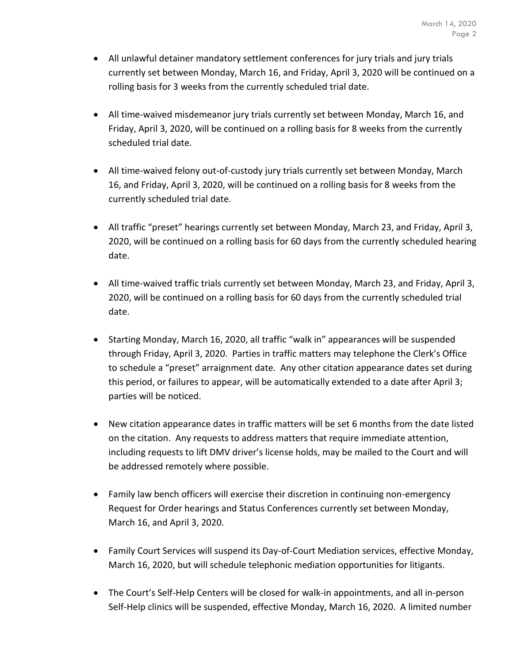- All unlawful detainer mandatory settlement conferences for jury trials and jury trials currently set between Monday, March 16, and Friday, April 3, 2020 will be continued on a rolling basis for 3 weeks from the currently scheduled trial date.
- All time-waived misdemeanor jury trials currently set between Monday, March 16, and Friday, April 3, 2020, will be continued on a rolling basis for 8 weeks from the currently scheduled trial date.
- All time-waived felony out-of-custody jury trials currently set between Monday, March 16, and Friday, April 3, 2020, will be continued on a rolling basis for 8 weeks from the currently scheduled trial date.
- All traffic "preset" hearings currently set between Monday, March 23, and Friday, April 3, 2020, will be continued on a rolling basis for 60 days from the currently scheduled hearing date.
- All time-waived traffic trials currently set between Monday, March 23, and Friday, April 3, 2020, will be continued on a rolling basis for 60 days from the currently scheduled trial date.
- Starting Monday, March 16, 2020, all traffic "walk in" appearances will be suspended through Friday, April 3, 2020. Parties in traffic matters may telephone the Clerk's Office to schedule a "preset" arraignment date. Any other citation appearance dates set during this period, or failures to appear, will be automatically extended to a date after April 3; parties will be noticed.
- New citation appearance dates in traffic matters will be set 6 months from the date listed on the citation. Any requests to address matters that require immediate attention, including requests to lift DMV driver's license holds, may be mailed to the Court and will be addressed remotely where possible.
- Family law bench officers will exercise their discretion in continuing non-emergency Request for Order hearings and Status Conferences currently set between Monday, March 16, and April 3, 2020.
- Family Court Services will suspend its Day-of-Court Mediation services, effective Monday, March 16, 2020, but will schedule telephonic mediation opportunities for litigants.
- The Court's Self-Help Centers will be closed for walk-in appointments, and all in-person Self-Help clinics will be suspended, effective Monday, March 16, 2020. A limited number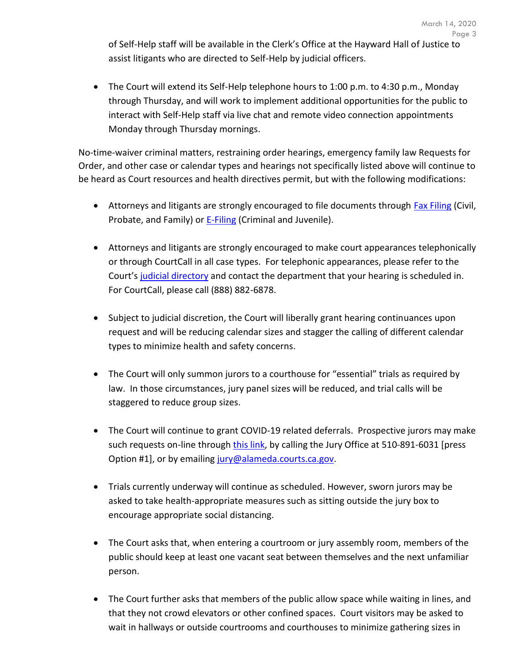of Self-Help staff will be available in the Clerk's Office at the Hayward Hall of Justice to assist litigants who are directed to Self-Help by judicial officers.

 The Court will extend its Self-Help telephone hours to 1:00 p.m. to 4:30 p.m., Monday through Thursday, and will work to implement additional opportunities for the public to interact with Self-Help staff via live chat and remote video connection appointments Monday through Thursday mornings.

No-time-waiver criminal matters, restraining order hearings, emergency family law Requests for Order, and other case or calendar types and hearings not specifically listed above will continue to be heard as Court resources and health directives permit, but with the following modifications:

- Attorneys and litigants are strongly encouraged to file documents through **Fax Filing** (Civil, Probate, and Family) or **E-Filing** (Criminal and Juvenile).
- Attorneys and litigants are strongly encouraged to make court appearances telephonically or through CourtCall in all case types. For telephonic appearances, please refer to the Court's [judicial directory](http://www.alameda.courts.ca.gov/Resources/Documents/2020%20Judicial%20Directory%20and%20Assignments%20-%20Effective%20Mar%2013,%202020.pdf) and contact the department that your hearing is scheduled in. For CourtCall, please call (888) 882-6878.
- Subject to judicial discretion, the Court will liberally grant hearing continuances upon request and will be reducing calendar sizes and stagger the calling of different calendar types to minimize health and safety concerns.
- The Court will only summon jurors to a courthouse for "essential" trials as required by law. In those circumstances, jury panel sizes will be reduced, and trial calls will be staggered to reduce group sizes.
- The Court will continue to grant COVID-19 related deferrals. Prospective jurors may make such requests on-line through [this link,](https://ejuror.alameda.courts.ca.gov/agilejury/) by calling the Jury Office at 510-891-6031 [press Option #1], or by emailing [jury@alameda.courts.ca.gov.](mailto:jury@alameda.courts.ca.gov)
- Trials currently underway will continue as scheduled. However, sworn jurors may be asked to take health-appropriate measures such as sitting outside the jury box to encourage appropriate social distancing.
- The Court asks that, when entering a courtroom or jury assembly room, members of the public should keep at least one vacant seat between themselves and the next unfamiliar person.
- The Court further asks that members of the public allow space while waiting in lines, and that they not crowd elevators or other confined spaces. Court visitors may be asked to wait in hallways or outside courtrooms and courthouses to minimize gathering sizes in